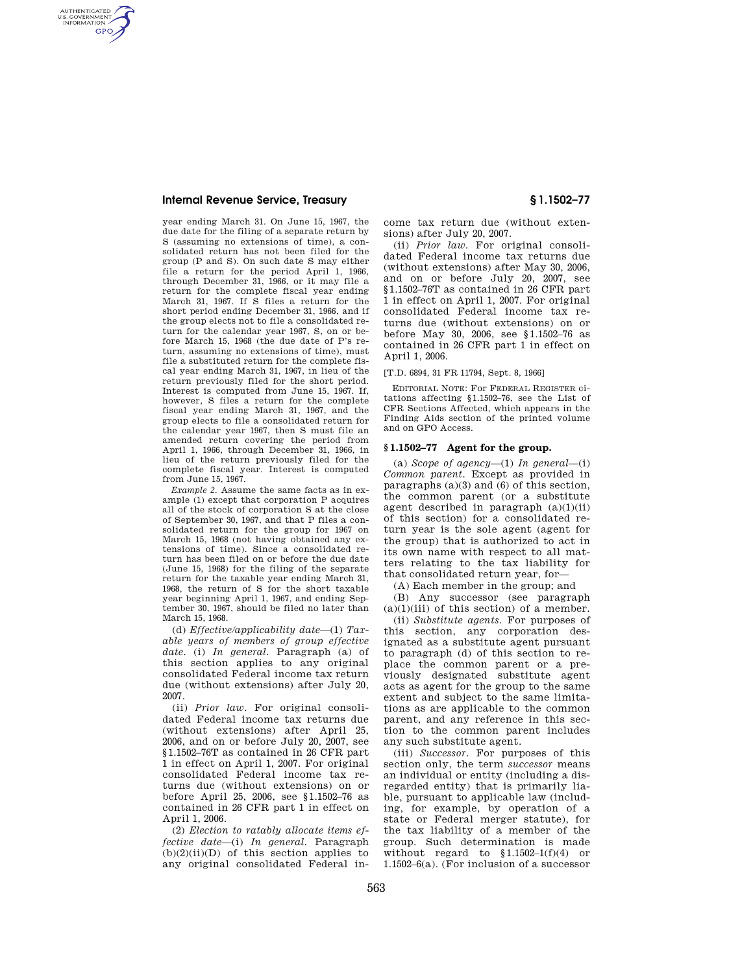AUTHENTICATED<br>U.S. GOVERNMENT<br>INFORMATION **GPO** 

> year ending March 31. On June 15, 1967, the due date for the filing of a separate return by S (assuming no extensions of time), a consolidated return has not been filed for the group (P and S). On such date S may either file a return for the period April 1, 1966, through December 31, 1966, or it may file a return for the complete fiscal year ending March 31, 1967. If S files a return for the short period ending December 31, 1966, and if the group elects not to file a consolidated return for the calendar year 1967, S, on or before March 15, 1968 (the due date of P's return, assuming no extensions of time), must file a substituted return for the complete fiscal year ending March 31, 1967, in lieu of the return previously filed for the short period. Interest is computed from June 15, 1967. If, however, S files a return for the complete fiscal year ending March 31, 1967, and the group elects to file a consolidated return for the calendar year 1967, then S must file an amended return covering the period from April 1, 1966, through December 31, 1966, in lieu of the return previously filed for the complete fiscal year. Interest is computed from June 15, 1967.

> *Example 2.* Assume the same facts as in example (1) except that corporation P acquires all of the stock of corporation S at the close of September 30, 1967, and that P files a consolidated return for the group for 1967 on March 15, 1968 (not having obtained any extensions of time). Since a consolidated return has been filed on or before the due date (June 15, 1968) for the filing of the separate return for the taxable year ending March 31, 1968, the return of S for the short taxable year beginning April 1, 1967, and ending September 30, 1967, should be filed no later than March 15, 1968.

> (d) *Effective/applicability date*—(1) *Taxable years of members of group effective date.* (i) *In general.* Paragraph (a) of this section applies to any original consolidated Federal income tax return due (without extensions) after July 20, 2007.

> (ii) *Prior law.* For original consolidated Federal income tax returns due (without extensions) after April 25, 2006, and on or before July 20, 2007, see §1.1502–76T as contained in 26 CFR part 1 in effect on April 1, 2007. For original consolidated Federal income tax returns due (without extensions) on or before April 25, 2006, see §1.1502–76 as contained in 26 CFR part 1 in effect on April 1, 2006.

> (2) *Election to ratably allocate items effective date*—(i) *In general.* Paragraph  $(b)(2)(ii)(D)$  of this section applies to any original consolidated Federal in-

come tax return due (without extensions) after July 20, 2007.

(ii) *Prior law.* For original consolidated Federal income tax returns due (without extensions) after May 30, 2006, and on or before July 20, 2007, see §1.1502–76T as contained in 26 CFR part 1 in effect on April 1, 2007. For original consolidated Federal income tax returns due (without extensions) on or before May 30, 2006, see §1.1502–76 as contained in 26 CFR part 1 in effect on April 1, 2006.

### [T.D. 6894, 31 FR 11794, Sept. 8, 1966]

EDITORIAL NOTE: For FEDERAL REGISTER citations affecting §1.1502–76, see the List of CFR Sections Affected, which appears in the Finding Aids section of the printed volume and on GPO Access.

### **§ 1.1502–77 Agent for the group.**

(a) *Scope of agency*—(1) *In general*—(i) *Common parent.* Except as provided in paragraphs (a)(3) and (6) of this section, the common parent (or a substitute agent described in paragraph  $(a)(1)(ii)$ of this section) for a consolidated return year is the sole agent (agent for the group) that is authorized to act in its own name with respect to all matters relating to the tax liability for that consolidated return year, for—

(A) Each member in the group; and

(B) Any successor (see paragraph  $(a)(1)(iii)$  of this section) of a member.

(ii) *Substitute agents.* For purposes of this section, any corporation designated as a substitute agent pursuant to paragraph (d) of this section to replace the common parent or a previously designated substitute agent acts as agent for the group to the same extent and subject to the same limitations as are applicable to the common parent, and any reference in this section to the common parent includes any such substitute agent.

(iii) *Successor.* For purposes of this section only, the term *successor* means an individual or entity (including a disregarded entity) that is primarily liable, pursuant to applicable law (including, for example, by operation of a state or Federal merger statute), for the tax liability of a member of the group. Such determination is made without regard to  $$1.1502-1(f)(4)$  or 1.1502–6(a). (For inclusion of a successor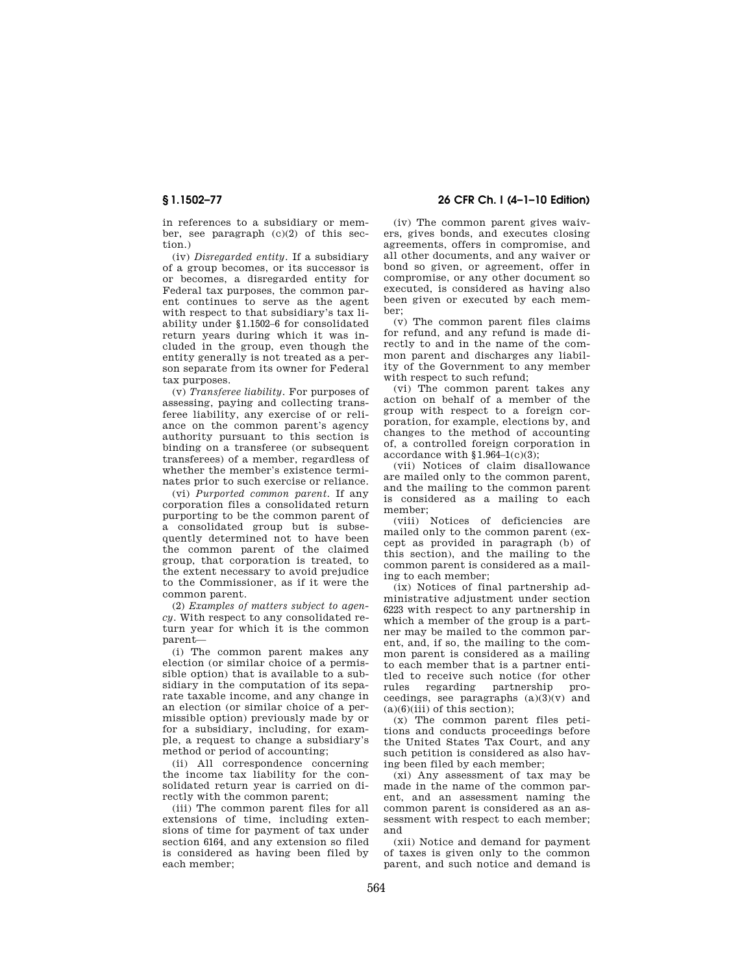in references to a subsidiary or member, see paragraph  $(c)(2)$  of this section.)

(iv) *Disregarded entity.* If a subsidiary of a group becomes, or its successor is or becomes, a disregarded entity for Federal tax purposes, the common parent continues to serve as the agent with respect to that subsidiary's tax liability under §1.1502–6 for consolidated return years during which it was included in the group, even though the entity generally is not treated as a person separate from its owner for Federal tax purposes.

(v) *Transferee liability.* For purposes of assessing, paying and collecting transferee liability, any exercise of or reliance on the common parent's agency authority pursuant to this section is binding on a transferee (or subsequent transferees) of a member, regardless of whether the member's existence terminates prior to such exercise or reliance.

(vi) *Purported common parent.* If any corporation files a consolidated return purporting to be the common parent of a consolidated group but is subsequently determined not to have been the common parent of the claimed group, that corporation is treated, to the extent necessary to avoid prejudice to the Commissioner, as if it were the common parent.

(2) *Examples of matters subject to agency.* With respect to any consolidated return year for which it is the common parent—

(i) The common parent makes any election (or similar choice of a permissible option) that is available to a subsidiary in the computation of its separate taxable income, and any change in an election (or similar choice of a permissible option) previously made by or for a subsidiary, including, for example, a request to change a subsidiary's method or period of accounting;

(ii) All correspondence concerning the income tax liability for the consolidated return year is carried on directly with the common parent;

(iii) The common parent files for all extensions of time, including extensions of time for payment of tax under section 6164, and any extension so filed is considered as having been filed by each member;

# **§ 1.1502–77 26 CFR Ch. I (4–1–10 Edition)**

(iv) The common parent gives waivers, gives bonds, and executes closing agreements, offers in compromise, and all other documents, and any waiver or bond so given, or agreement, offer in compromise, or any other document so executed, is considered as having also been given or executed by each member;

(v) The common parent files claims for refund, and any refund is made directly to and in the name of the common parent and discharges any liability of the Government to any member with respect to such refund;

(vi) The common parent takes any action on behalf of a member of the group with respect to a foreign corporation, for example, elections by, and changes to the method of accounting of, a controlled foreign corporation in accordance with  $$1.964-1(c)(3);$ 

(vii) Notices of claim disallowance are mailed only to the common parent, and the mailing to the common parent is considered as a mailing to each member;

(viii) Notices of deficiencies are mailed only to the common parent (except as provided in paragraph (b) of this section), and the mailing to the common parent is considered as a mailing to each member;

(ix) Notices of final partnership administrative adjustment under section 6223 with respect to any partnership in which a member of the group is a partner may be mailed to the common parent, and, if so, the mailing to the common parent is considered as a mailing to each member that is a partner entitled to receive such notice (for other<br>rules regarding partnership prorules regarding partnership proceedings, see paragraphs  $(a)(3)(v)$  and  $(a)(6)(iii)$  of this section);

(x) The common parent files petitions and conducts proceedings before the United States Tax Court, and any such petition is considered as also having been filed by each member;

(xi) Any assessment of tax may be made in the name of the common parent, and an assessment naming the common parent is considered as an assessment with respect to each member; and

(xii) Notice and demand for payment of taxes is given only to the common parent, and such notice and demand is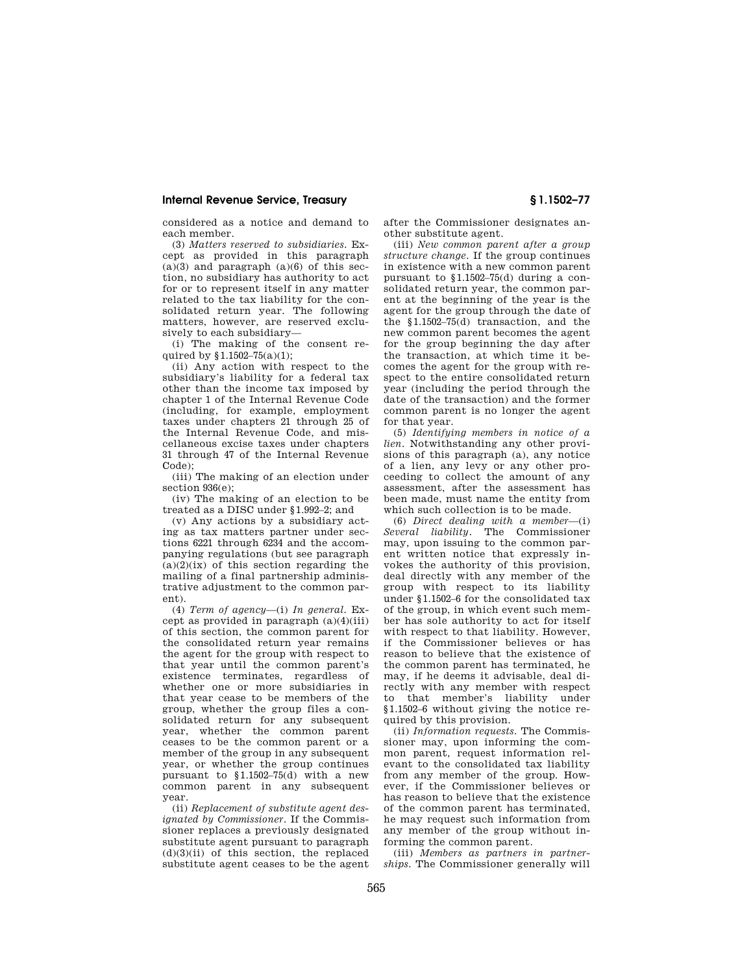considered as a notice and demand to each member.

(3) *Matters reserved to subsidiaries.* Except as provided in this paragraph  $(a)(3)$  and paragraph  $(a)(6)$  of this section, no subsidiary has authority to act for or to represent itself in any matter related to the tax liability for the consolidated return year. The following matters, however, are reserved exclusively to each subsidiary—

(i) The making of the consent required by  $$1.1502-75(a)(1);$ 

(ii) Any action with respect to the subsidiary's liability for a federal tax other than the income tax imposed by chapter 1 of the Internal Revenue Code (including, for example, employment taxes under chapters 21 through 25 of the Internal Revenue Code, and miscellaneous excise taxes under chapters 31 through 47 of the Internal Revenue Code);

(iii) The making of an election under section 936(e);

(iv) The making of an election to be treated as a DISC under §1.992–2; and

(v) Any actions by a subsidiary acting as tax matters partner under sections 6221 through 6234 and the accompanying regulations (but see paragraph  $(a)(2)(ix)$  of this section regarding the mailing of a final partnership administrative adjustment to the common parent).

(4) *Term of agency*—(i) *In general.* Except as provided in paragraph  $(a)(4)(iii)$ of this section, the common parent for the consolidated return year remains the agent for the group with respect to that year until the common parent's existence terminates, regardless of whether one or more subsidiaries in that year cease to be members of the group, whether the group files a consolidated return for any subsequent year, whether the common parent ceases to be the common parent or a member of the group in any subsequent year, or whether the group continues pursuant to §1.1502–75(d) with a new common parent in any subsequent year.

(ii) *Replacement of substitute agent designated by Commissioner.* If the Commissioner replaces a previously designated substitute agent pursuant to paragraph (d)(3)(ii) of this section, the replaced substitute agent ceases to be the agent after the Commissioner designates another substitute agent.

(iii) *New common parent after a group structure change.* If the group continues in existence with a new common parent pursuant to §1.1502–75(d) during a consolidated return year, the common parent at the beginning of the year is the agent for the group through the date of the §1.1502–75(d) transaction, and the new common parent becomes the agent for the group beginning the day after the transaction, at which time it becomes the agent for the group with respect to the entire consolidated return year (including the period through the date of the transaction) and the former common parent is no longer the agent for that year.

(5) *Identifying members in notice of a lien.* Notwithstanding any other provisions of this paragraph (a), any notice of a lien, any levy or any other proceeding to collect the amount of any assessment, after the assessment has been made, must name the entity from which such collection is to be made.

(6) *Direct dealing with a member*—(i) *Several liability.* The Commissioner may, upon issuing to the common parent written notice that expressly invokes the authority of this provision, deal directly with any member of the group with respect to its liability under §1.1502–6 for the consolidated tax of the group, in which event such member has sole authority to act for itself with respect to that liability. However, if the Commissioner believes or has reason to believe that the existence of the common parent has terminated, he may, if he deems it advisable, deal directly with any member with respect to that member's liability under §1.1502–6 without giving the notice required by this provision.

(ii) *Information requests.* The Commissioner may, upon informing the common parent, request information relevant to the consolidated tax liability from any member of the group. However, if the Commissioner believes or has reason to believe that the existence of the common parent has terminated, he may request such information from any member of the group without informing the common parent.

(iii) *Members as partners in partnerships.* The Commissioner generally will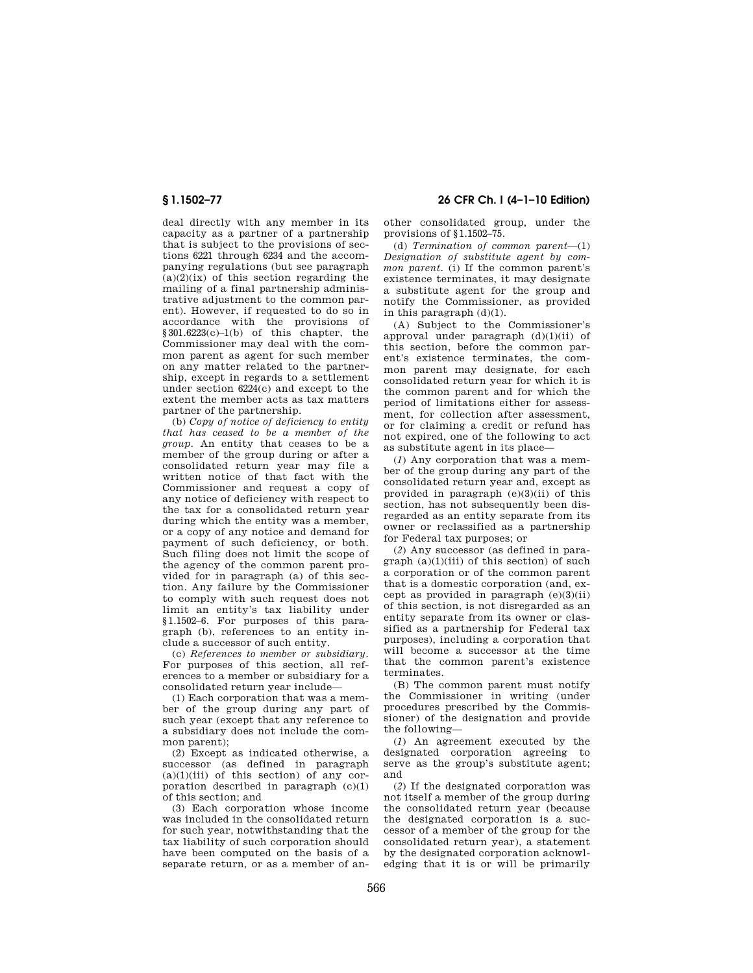deal directly with any member in its capacity as a partner of a partnership that is subject to the provisions of sections 6221 through 6234 and the accompanying regulations (but see paragraph  $(a)(2)(ix)$  of this section regarding the mailing of a final partnership administrative adjustment to the common parent). However, if requested to do so in accordance with the provisions of §301.6223(c)–1(b) of this chapter, the Commissioner may deal with the common parent as agent for such member on any matter related to the partnership, except in regards to a settlement under section 6224(c) and except to the extent the member acts as tax matters partner of the partnership.

(b) *Copy of notice of deficiency to entity that has ceased to be a member of the group.* An entity that ceases to be a member of the group during or after a consolidated return year may file a written notice of that fact with the Commissioner and request a copy of any notice of deficiency with respect to the tax for a consolidated return year during which the entity was a member, or a copy of any notice and demand for payment of such deficiency, or both. Such filing does not limit the scope of the agency of the common parent provided for in paragraph (a) of this section. Any failure by the Commissioner to comply with such request does not limit an entity's tax liability under §1.1502–6. For purposes of this paragraph (b), references to an entity include a successor of such entity.

(c) *References to member or subsidiary.*  For purposes of this section, all references to a member or subsidiary for a consolidated return year include—

(1) Each corporation that was a member of the group during any part of such year (except that any reference to a subsidiary does not include the common parent);

(2) Except as indicated otherwise, a successor (as defined in paragraph  $(a)(1)(iii)$  of this section) of any corporation described in paragraph  $(c)(1)$ of this section; and

(3) Each corporation whose income was included in the consolidated return for such year, notwithstanding that the tax liability of such corporation should have been computed on the basis of a separate return, or as a member of an-

**§ 1.1502–77 26 CFR Ch. I (4–1–10 Edition)** 

other consolidated group, under the provisions of §1.1502–75.

(d) *Termination of common parent*—(1) *Designation of substitute agent by common parent.* (i) If the common parent's existence terminates, it may designate a substitute agent for the group and notify the Commissioner, as provided in this paragraph (d)(1).

(A) Subject to the Commissioner's approval under paragraph (d)(1)(ii) of this section, before the common parent's existence terminates, the common parent may designate, for each consolidated return year for which it is the common parent and for which the period of limitations either for assessment, for collection after assessment, or for claiming a credit or refund has not expired, one of the following to act as substitute agent in its place—

(*1*) Any corporation that was a member of the group during any part of the consolidated return year and, except as provided in paragraph (e)(3)(ii) of this section, has not subsequently been disregarded as an entity separate from its owner or reclassified as a partnership for Federal tax purposes; or

(*2*) Any successor (as defined in para $graph (a)(1)(iii)$  of this section) of such a corporation or of the common parent that is a domestic corporation (and, except as provided in paragraph (e)(3)(ii) of this section, is not disregarded as an entity separate from its owner or classified as a partnership for Federal tax purposes), including a corporation that will become a successor at the time that the common parent's existence terminates.

(B) The common parent must notify the Commissioner in writing (under procedures prescribed by the Commissioner) of the designation and provide the following—

(*1*) An agreement executed by the designated corporation agreeing to serve as the group's substitute agent; and

(*2*) If the designated corporation was not itself a member of the group during the consolidated return year (because the designated corporation is a successor of a member of the group for the consolidated return year), a statement by the designated corporation acknowledging that it is or will be primarily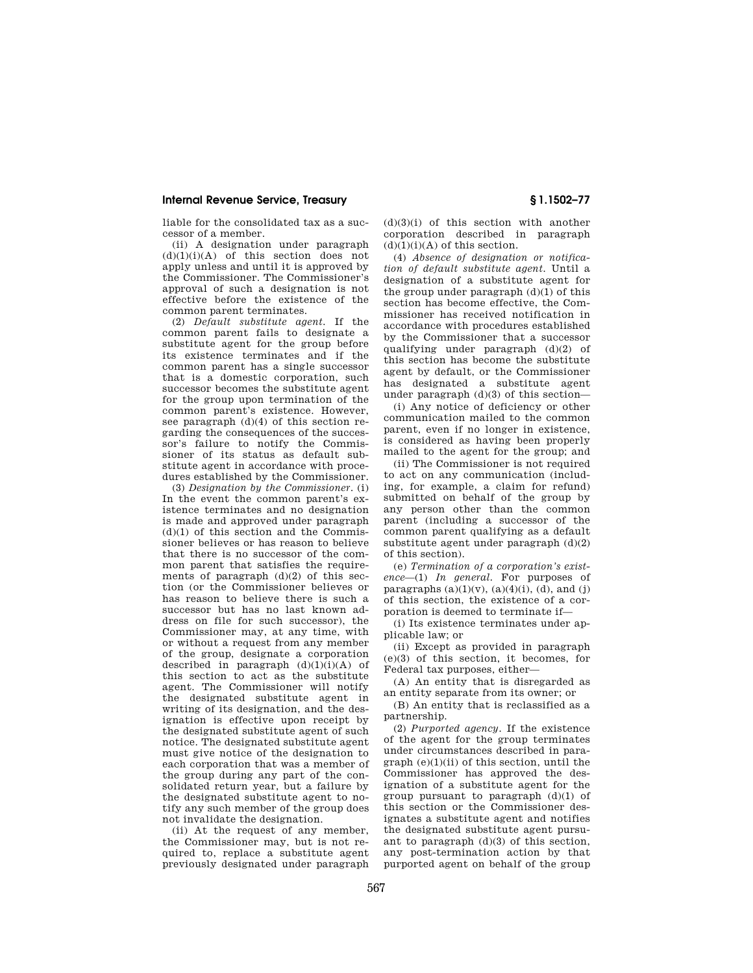liable for the consolidated tax as a successor of a member.

(ii) A designation under paragraph  $(d)(1)(i)(A)$  of this section does not apply unless and until it is approved by the Commissioner. The Commissioner's approval of such a designation is not effective before the existence of the common parent terminates.

(2) *Default substitute agent.* If the common parent fails to designate a substitute agent for the group before its existence terminates and if the common parent has a single successor that is a domestic corporation, such successor becomes the substitute agent for the group upon termination of the common parent's existence. However, see paragraph (d)(4) of this section regarding the consequences of the successor's failure to notify the Commissioner of its status as default substitute agent in accordance with procedures established by the Commissioner.

(3) *Designation by the Commissioner.* (i) In the event the common parent's existence terminates and no designation is made and approved under paragraph  $(d)(1)$  of this section and the Commissioner believes or has reason to believe that there is no successor of the common parent that satisfies the requirements of paragraph  $(d)(2)$  of this section (or the Commissioner believes or has reason to believe there is such a successor but has no last known address on file for such successor), the Commissioner may, at any time, with or without a request from any member of the group, designate a corporation described in paragraph  $(d)(1)(i)(A)$  of this section to act as the substitute agent. The Commissioner will notify the designated substitute agent in writing of its designation, and the designation is effective upon receipt by the designated substitute agent of such notice. The designated substitute agent must give notice of the designation to each corporation that was a member of the group during any part of the consolidated return year, but a failure by the designated substitute agent to notify any such member of the group does not invalidate the designation.

(ii) At the request of any member, the Commissioner may, but is not required to, replace a substitute agent previously designated under paragraph

(d)(3)(i) of this section with another corporation described in paragraph  $(d)(1)(i)(A)$  of this section.

(4) *Absence of designation or notification of default substitute agent.* Until a designation of a substitute agent for the group under paragraph (d)(1) of this section has become effective, the Commissioner has received notification in accordance with procedures established by the Commissioner that a successor qualifying under paragraph (d)(2) of this section has become the substitute agent by default, or the Commissioner has designated a substitute agent under paragraph  $(d)(3)$  of this section—

(i) Any notice of deficiency or other communication mailed to the common parent, even if no longer in existence, is considered as having been properly mailed to the agent for the group; and

(ii) The Commissioner is not required to act on any communication (including, for example, a claim for refund) submitted on behalf of the group by any person other than the common parent (including a successor of the common parent qualifying as a default substitute agent under paragraph (d)(2) of this section).

(e) *Termination of a corporation's existence*—(1) *In general.* For purposes of paragraphs  $(a)(1)(v)$ ,  $(a)(4)(i)$ ,  $(d)$ , and  $(j)$ of this section, the existence of a corporation is deemed to terminate if—

(i) Its existence terminates under applicable law; or

(ii) Except as provided in paragraph (e)(3) of this section, it becomes, for Federal tax purposes, either—

(A) An entity that is disregarded as an entity separate from its owner; or

(B) An entity that is reclassified as a partnership.

(2) *Purported agency.* If the existence of the agent for the group terminates under circumstances described in para $graph (e)(1)(ii)$  of this section, until the Commissioner has approved the designation of a substitute agent for the group pursuant to paragraph (d)(1) of this section or the Commissioner designates a substitute agent and notifies the designated substitute agent pursuant to paragraph (d)(3) of this section, any post-termination action by that purported agent on behalf of the group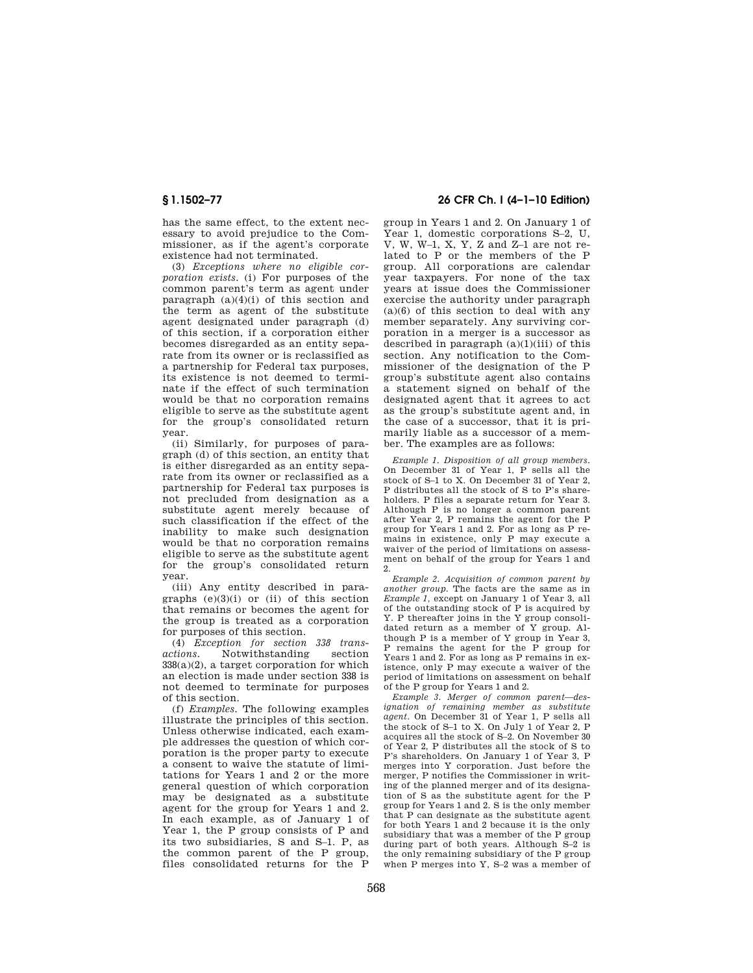has the same effect, to the extent necessary to avoid prejudice to the Commissioner, as if the agent's corporate existence had not terminated.

(3) *Exceptions where no eligible corporation exists.* (i) For purposes of the common parent's term as agent under paragraph  $(a)(4)(i)$  of this section and the term as agent of the substitute agent designated under paragraph (d) of this section, if a corporation either becomes disregarded as an entity separate from its owner or is reclassified as a partnership for Federal tax purposes, its existence is not deemed to terminate if the effect of such termination would be that no corporation remains eligible to serve as the substitute agent for the group's consolidated return year.

(ii) Similarly, for purposes of paragraph (d) of this section, an entity that is either disregarded as an entity separate from its owner or reclassified as a partnership for Federal tax purposes is not precluded from designation as a substitute agent merely because of such classification if the effect of the inability to make such designation would be that no corporation remains eligible to serve as the substitute agent for the group's consolidated return year.

(iii) Any entity described in paragraphs  $(e)(3)(i)$  or  $(ii)$  of this section that remains or becomes the agent for the group is treated as a corporation for purposes of this section.

(4) *Exception for section 338 transactions.* Notwithstanding section  $338(a)(2)$ , a target corporation for which an election is made under section 338 is not deemed to terminate for purposes of this section.

(f) *Examples.* The following examples illustrate the principles of this section. Unless otherwise indicated, each example addresses the question of which corporation is the proper party to execute a consent to waive the statute of limitations for Years 1 and 2 or the more general question of which corporation may be designated as a substitute agent for the group for Years 1 and 2. In each example, as of January 1 of Year 1, the P group consists of P and its two subsidiaries, S and S–1. P, as the common parent of the P group, files consolidated returns for the P

## **§ 1.1502–77 26 CFR Ch. I (4–1–10 Edition)**

group in Years 1 and 2. On January 1 of Year 1, domestic corporations S–2, U, V, W, W–1, X, Y, Z and Z–1 are not related to P or the members of the P group. All corporations are calendar year taxpayers. For none of the tax years at issue does the Commissioner exercise the authority under paragraph  $(a)(6)$  of this section to deal with any member separately. Any surviving corporation in a merger is a successor as described in paragraph  $(a)(1)(iii)$  of this section. Any notification to the Commissioner of the designation of the P group's substitute agent also contains a statement signed on behalf of the designated agent that it agrees to act as the group's substitute agent and, in the case of a successor, that it is primarily liable as a successor of a member. The examples are as follows:

*Example 1. Disposition of all group members.*  On December 31 of Year 1, P sells all the stock of S–1 to X. On December 31 of Year 2, P distributes all the stock of S to P's shareholders. P files a separate return for Year 3. Although P is no longer a common parent after Year 2, P remains the agent for the P group for Years 1 and 2. For as long as P remains in existence, only P may execute a waiver of the period of limitations on assessment on behalf of the group for Years 1 and 2.

*Example 2. Acquisition of common parent by another group.* The facts are the same as in *Example 1,* except on January 1 of Year 3, all of the outstanding stock of P is acquired by Y. P thereafter joins in the Y group consolidated return as a member of Y group. Although P is a member of Y group in Year 3, P remains the agent for the P group for Years 1 and 2. For as long as P remains in existence, only P may execute a waiver of the period of limitations on assessment on behalf of the P group for Years 1 and 2.

*Example 3. Merger of common parent—designation of remaining member as substitute agent.* On December 31 of Year 1, P sells all the stock of S–1 to X. On July 1 of Year 2, P acquires all the stock of S–2. On November 30 of Year 2, P distributes all the stock of S to P's shareholders. On January 1 of Year 3, P merges into Y corporation. Just before the merger, P notifies the Commissioner in writing of the planned merger and of its designation of S as the substitute agent for the P group for Years 1 and 2. S is the only member that P can designate as the substitute agent for both Years 1 and 2 because it is the only subsidiary that was a member of the P group during part of both years. Although S–2 is the only remaining subsidiary of the P group when P merges into Y, S–2 was a member of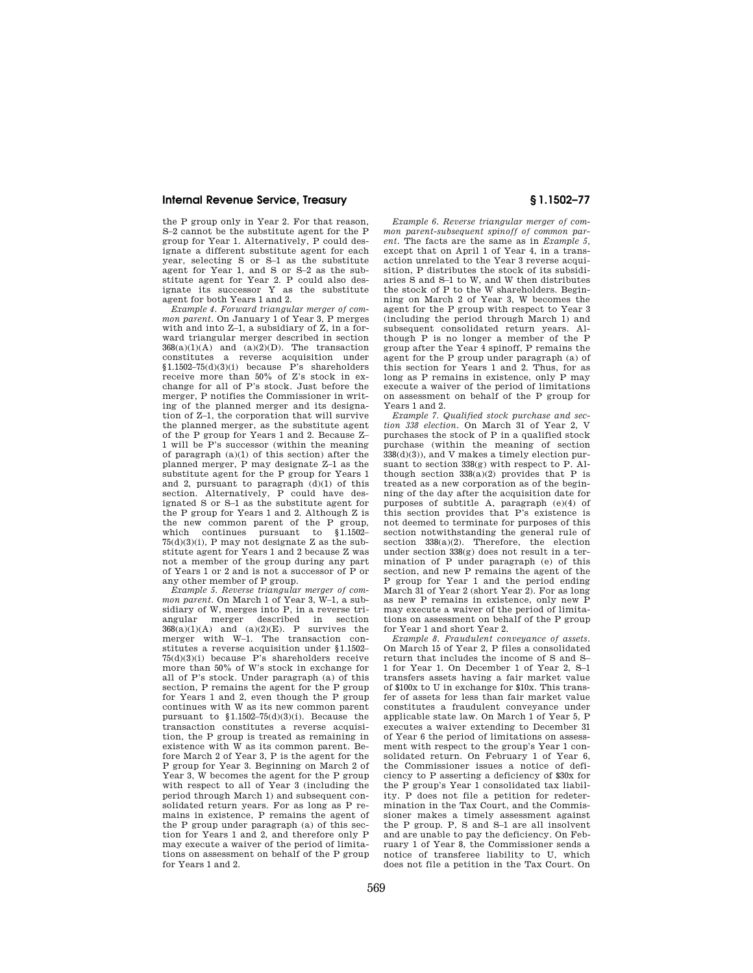the P group only in Year 2. For that reason, S–2 cannot be the substitute agent for the P group for Year 1. Alternatively, P could designate a different substitute agent for each year, selecting S or S–1 as the substitute agent for Year 1, and S or S–2 as the substitute agent for Year 2. P could also designate its successor Y as the substitute agent for both Years 1 and 2.

*Example 4. Forward triangular merger of common parent.* On January 1 of Year 3, P merges with and into Z–1, a subsidiary of Z, in a forward triangular merger described in section  $368(a)(1)(A)$  and  $(a)(2)(D)$ . The transaction constitutes a reverse acquisition under  $$1.1502-75(d)(3)(i)$  because P's shareholders receive more than 50% of Z's stock in exchange for all of P's stock. Just before the merger, P notifies the Commissioner in writing of the planned merger and its designation of Z–1, the corporation that will survive the planned merger, as the substitute agent of the P group for Years 1 and 2. Because Z– 1 will be P's successor (within the meaning of paragraph (a)(1) of this section) after the planned merger, P may designate Z–1 as the substitute agent for the P group for Years 1 and 2, pursuant to paragraph  $(d)(1)$  of this section. Alternatively, P could have designated S or S–1 as the substitute agent for the P group for Years 1 and 2. Although Z is the new common parent of the P group, which continues pursuant to §1.1502– 75(d)(3)(i), P may not designate Z as the substitute agent for Years 1 and 2 because Z was not a member of the group during any part of Years 1 or 2 and is not a successor of P or any other member of P group.

*Example 5. Reverse triangular merger of common parent.* On March 1 of Year 3, W–1, a subsidiary of W, merges into P, in a reverse triangular merger described in section  $368(a)(1)(A)$  and  $(a)(2)(E)$ . P survives the merger with W–1. The transaction constitutes a reverse acquisition under §1.1502– 75(d)(3)(i) because P's shareholders receive more than 50% of W's stock in exchange for all of P's stock. Under paragraph (a) of this section, P remains the agent for the P group for Years 1 and 2, even though the P group continues with W as its new common parent pursuant to §1.1502–75(d)(3)(i). Because the transaction constitutes a reverse acquisition, the P group is treated as remaining in existence with W as its common parent. Before March 2 of Year 3, P is the agent for the P group for Year 3. Beginning on March 2 of Year 3, W becomes the agent for the P group with respect to all of Year 3 (including the period through March 1) and subsequent consolidated return years. For as long as P remains in existence, P remains the agent of the P group under paragraph (a) of this section for Years 1 and 2, and therefore only P may execute a waiver of the period of limitations on assessment on behalf of the P group for Years 1 and 2.

*Example 6. Reverse triangular merger of common parent-subsequent spinoff of common parent.* The facts are the same as in *Example 5,*  except that on April 1 of Year 4, in a transaction unrelated to the Year 3 reverse acquisition, P distributes the stock of its subsidiaries S and S–1 to W, and W then distributes the stock of P to the W shareholders. Beginning on March 2 of Year 3, W becomes the agent for the P group with respect to Year 3 (including the period through March 1) and subsequent consolidated return years. Although P is no longer a member of the P group after the Year 4 spinoff, P remains the agent for the P group under paragraph (a) of this section for Years 1 and 2. Thus, for as long as P remains in existence, only P may execute a waiver of the period of limitations on assessment on behalf of the P group for Years 1 and 2.

*Example 7. Qualified stock purchase and section 338 election.* On March 31 of Year 2, V purchases the stock of P in a qualified stock purchase (within the meaning of section 338(d)(3)), and V makes a timely election pursuant to section 338(g) with respect to P. Although section  $338(a)(2)$  provides that P is treated as a new corporation as of the beginning of the day after the acquisition date for purposes of subtitle A, paragraph (e)(4) of this section provides that P's existence is not deemed to terminate for purposes of this section notwithstanding the general rule of section 338(a)(2). Therefore, the election under section 338(g) does not result in a termination of P under paragraph (e) of this section, and new P remains the agent of the P group for Year 1 and the period ending March 31 of Year 2 (short Year 2). For as long as new P remains in existence, only new P may execute a waiver of the period of limitations on assessment on behalf of the P group for Year 1 and short Year 2.

*Example 8. Fraudulent conveyance of assets.*  On March 15 of Year 2, P files a consolidated return that includes the income of S and S– 1 for Year 1. On December 1 of Year 2, S–1 transfers assets having a fair market value of \$100x to U in exchange for \$10x. This transfer of assets for less than fair market value constitutes a fraudulent conveyance under applicable state law. On March 1 of Year 5, P executes a waiver extending to December 31 of Year 6 the period of limitations on assessment with respect to the group's Year 1 consolidated return. On February 1 of Year 6, the Commissioner issues a notice of deficiency to P asserting a deficiency of \$30x for the P group's Year 1 consolidated tax liability. P does not file a petition for redetermination in the Tax Court, and the Commissioner makes a timely assessment against the P group. P, S and S-1 are all insolvent and are unable to pay the deficiency. On February 1 of Year 8, the Commissioner sends a notice of transferee liability to U, which does not file a petition in the Tax Court. On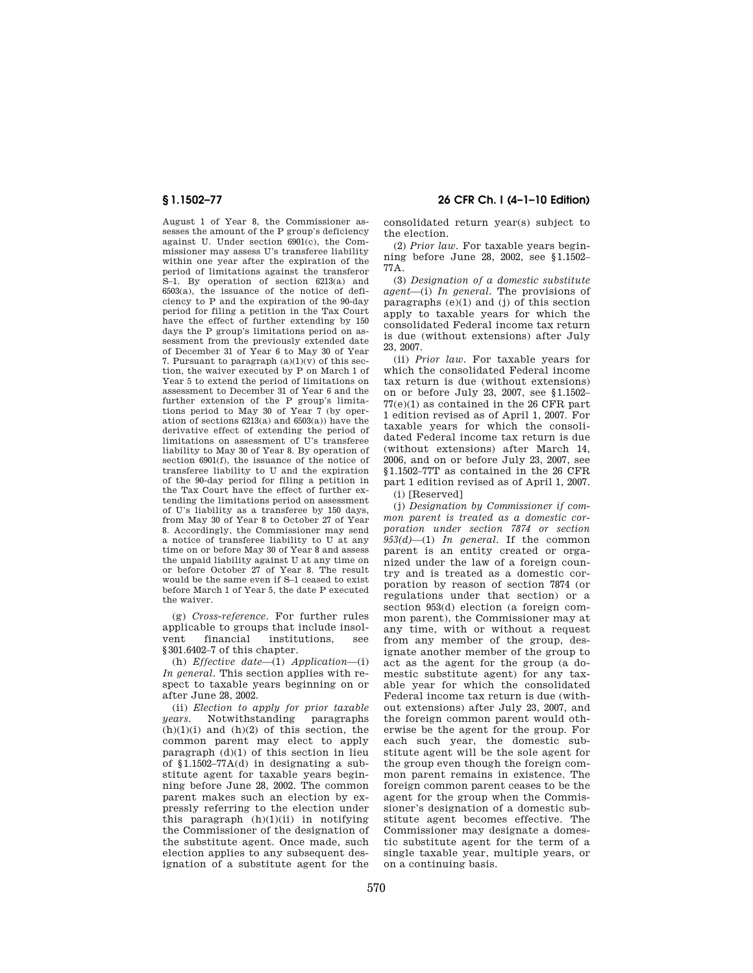August 1 of Year 8, the Commissioner assesses the amount of the P group's deficiency against U. Under section 6901(c), the Commissioner may assess U's transferee liability within one year after the expiration of the period of limitations against the transferor S–1. By operation of section 6213(a) and 6503(a), the issuance of the notice of deficiency to P and the expiration of the 90-day period for filing a petition in the Tax Court have the effect of further extending by 150 days the P group's limitations period on assessment from the previously extended date of December 31 of Year 6 to May 30 of Year 7. Pursuant to paragraph  $(a)(1)(y)$  of this section, the waiver executed by P on March 1 of Year 5 to extend the period of limitations on assessment to December 31 of Year 6 and the further extension of the P group's limitations period to May 30 of Year  $\bar{7}$  (by operation of sections 6213(a) and 6503(a)) have the derivative effect of extending the period of limitations on assessment of U's transferee liability to May 30 of Year 8. By operation of section 6901(f), the issuance of the notice of transferee liability to U and the expiration of the 90-day period for filing a petition in the Tax Court have the effect of further extending the limitations period on assessment of U's liability as a transferee by 150 days, from May 30 of Year 8 to October 27 of Year 8. Accordingly, the Commissioner may send a notice of transferee liability to U at any time on or before May 30 of Year 8 and assess the unpaid liability against U at any time on or before October 27 of Year 8. The result would be the same even if S–1 ceased to exist before March 1 of Year 5, the date P executed the waiver.

(g) *Cross-reference.* For further rules applicable to groups that include insolvent financial institutions, see §301.6402–7 of this chapter.

(h) *Effective date*—(1) *Application*—(i) *In general.* This section applies with respect to taxable years beginning on or after June 28, 2002.

(ii) *Election to apply for prior taxable years.* Notwithstanding paragraphs  $(h)(1)(i)$  and  $(h)(2)$  of this section, the common parent may elect to apply paragraph  $(d)(1)$  of this section in lieu of §1.1502–77A(d) in designating a substitute agent for taxable years beginning before June 28, 2002. The common parent makes such an election by expressly referring to the election under this paragraph  $(h)(1)(ii)$  in notifying the Commissioner of the designation of the substitute agent. Once made, such election applies to any subsequent designation of a substitute agent for the

## **§ 1.1502–77 26 CFR Ch. I (4–1–10 Edition)**

consolidated return year(s) subject to the election.

(2) *Prior law.* For taxable years beginning before June 28, 2002, see §1.1502– 77A.

(3) *Designation of a domestic substitute agent*—(i) *In general.* The provisions of paragraphs  $(e)(1)$  and  $(j)$  of this section apply to taxable years for which the consolidated Federal income tax return is due (without extensions) after July 23, 2007.

(ii) *Prior law.* For taxable years for which the consolidated Federal income tax return is due (without extensions) on or before July 23, 2007, see §1.1502– 77(e)(1) as contained in the 26 CFR part 1 edition revised as of April 1, 2007. For taxable years for which the consolidated Federal income tax return is due (without extensions) after March 14, 2006, and on or before July 23, 2007, see §1.1502–77T as contained in the 26 CFR part 1 edition revised as of April 1, 2007.

(i) [Reserved]

(j) *Designation by Commissioner if common parent is treated as a domestic corporation under section 7874 or section 953(d)*—(1) *In general.* If the common parent is an entity created or organized under the law of a foreign country and is treated as a domestic corporation by reason of section 7874 (or regulations under that section) or a section 953(d) election (a foreign common parent), the Commissioner may at any time, with or without a request from any member of the group, designate another member of the group to act as the agent for the group (a domestic substitute agent) for any taxable year for which the consolidated Federal income tax return is due (without extensions) after July 23, 2007, and the foreign common parent would otherwise be the agent for the group. For each such year, the domestic substitute agent will be the sole agent for the group even though the foreign common parent remains in existence. The foreign common parent ceases to be the agent for the group when the Commissioner's designation of a domestic substitute agent becomes effective. The Commissioner may designate a domestic substitute agent for the term of a single taxable year, multiple years, or on a continuing basis.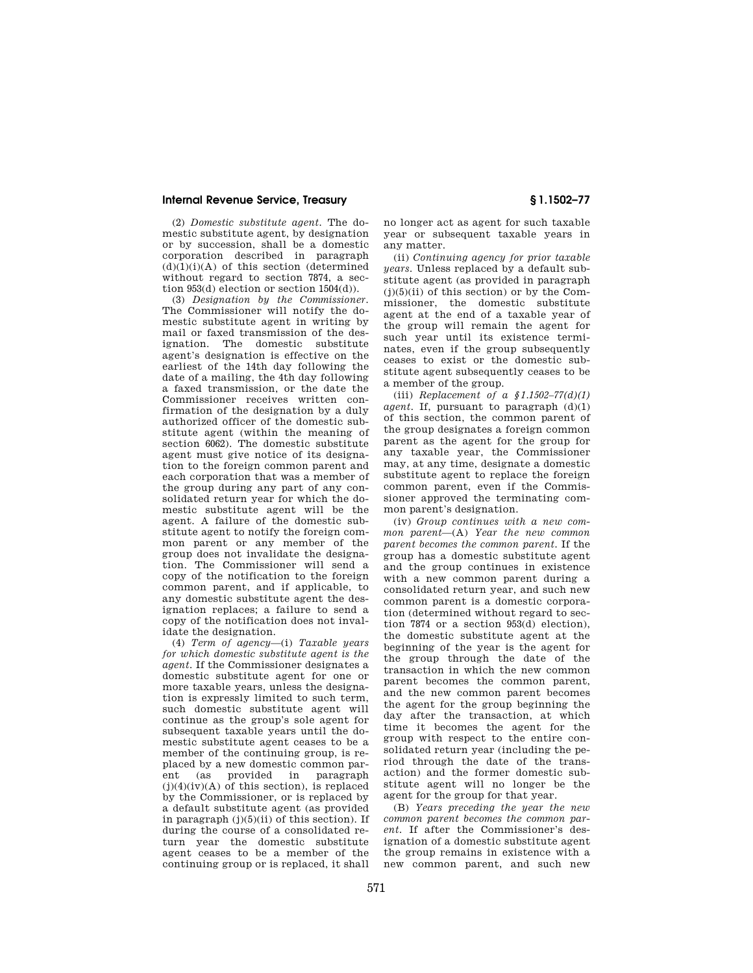(2) *Domestic substitute agent.* The domestic substitute agent, by designation or by succession, shall be a domestic corporation described in paragraph  $(d)(1)(i)(A)$  of this section (determined without regard to section 7874, a section 953(d) election or section 1504(d)).

(3) *Designation by the Commissioner.*  The Commissioner will notify the domestic substitute agent in writing by mail or faxed transmission of the des-<br>ignation The domestic substitute ignation. The domestic agent's designation is effective on the earliest of the 14th day following the date of a mailing, the 4th day following a faxed transmission, or the date the Commissioner receives written confirmation of the designation by a duly authorized officer of the domestic substitute agent (within the meaning of section 6062). The domestic substitute agent must give notice of its designation to the foreign common parent and each corporation that was a member of the group during any part of any consolidated return year for which the domestic substitute agent will be the agent. A failure of the domestic substitute agent to notify the foreign common parent or any member of the group does not invalidate the designation. The Commissioner will send a copy of the notification to the foreign common parent, and if applicable, to any domestic substitute agent the designation replaces; a failure to send a copy of the notification does not invalidate the designation.

(4) *Term of agency*—(i) *Taxable years for which domestic substitute agent is the agent.* If the Commissioner designates a domestic substitute agent for one or more taxable years, unless the designation is expressly limited to such term, such domestic substitute agent will continue as the group's sole agent for subsequent taxable years until the domestic substitute agent ceases to be a member of the continuing group, is replaced by a new domestic common parent (as provided in paragraph  $(j)(4)(iv)(A)$  of this section), is replaced by the Commissioner, or is replaced by a default substitute agent (as provided in paragraph  $(j)(5)(ii)$  of this section). If during the course of a consolidated return year the domestic substitute agent ceases to be a member of the continuing group or is replaced, it shall

no longer act as agent for such taxable year or subsequent taxable years in any matter.

(ii) *Continuing agency for prior taxable years.* Unless replaced by a default substitute agent (as provided in paragraph  $(j)(5)(ii)$  of this section) or by the Commissioner, the domestic substitute agent at the end of a taxable year of the group will remain the agent for such year until its existence terminates, even if the group subsequently ceases to exist or the domestic substitute agent subsequently ceases to be a member of the group.

(iii) *Replacement of a §1.1502–77(d)(1) agent.* If, pursuant to paragraph  $(d)(1)$ of this section, the common parent of the group designates a foreign common parent as the agent for the group for any taxable year, the Commissioner may, at any time, designate a domestic substitute agent to replace the foreign common parent, even if the Commissioner approved the terminating common parent's designation.

(iv) *Group continues with a new common parent*—(A) *Year the new common parent becomes the common parent.* If the group has a domestic substitute agent and the group continues in existence with a new common parent during a consolidated return year, and such new common parent is a domestic corporation (determined without regard to section 7874 or a section 953(d) election), the domestic substitute agent at the beginning of the year is the agent for the group through the date of the transaction in which the new common parent becomes the common parent, and the new common parent becomes the agent for the group beginning the day after the transaction, at which time it becomes the agent for the group with respect to the entire consolidated return year (including the period through the date of the transaction) and the former domestic substitute agent will no longer be the agent for the group for that year.

(B) *Years preceding the year the new common parent becomes the common parent.* If after the Commissioner's designation of a domestic substitute agent the group remains in existence with a new common parent, and such new